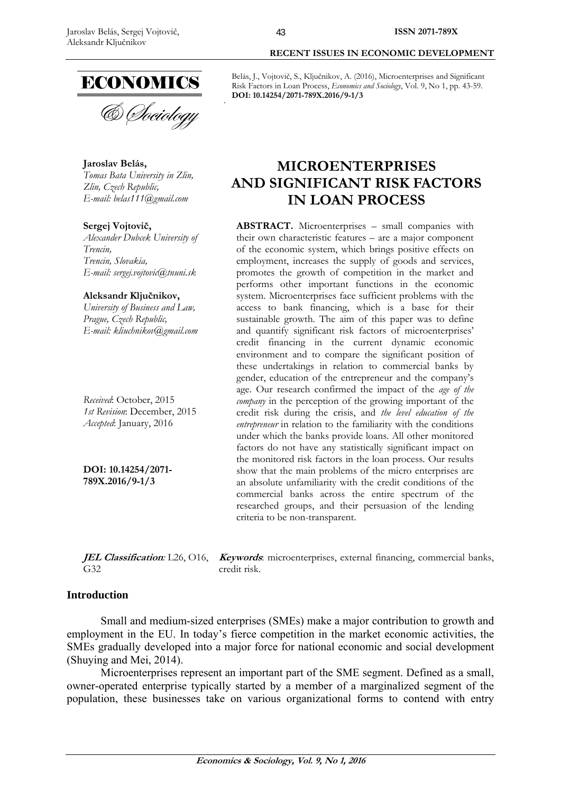

**Jaroslav Belás,**  *Tomas Bata University in Zlin, Zlin, Czech Republic, E-mail: belas111@gmail.com* 

## **Sergej Vojtovič,**

*Alexander Dubcek University of Trencin, Trencin, Slovakia, E-mail: sergej.vojtovic@tnuni.sk* 

## **Aleksandr Ključnikov,**

*University of Business and Law, Prague, Czech Republic, E-mail: kliuchnikov@gmail.com* 

*Received*: October, 2015 *1st Revision*: December, 2015 *Accepted*: January, 2016

**DOI: 10.14254/2071- 789X.2016/9-1/3**

 **RECENT ISSUES IN ECONOMIC DEVELOPMENT** 

Belás, J., Vojtovič, S., Ključnikov, A. (2016), Microenterprises and Significant Risk Factors in Loan Process, *Economics and Sociology*, Vol. 9, No 1, pp. 43-59. **DOI: 10.14254/2071-789X.2016/9-1/3** 

# **MICROENTERPRISES AND SIGNIFICANT RISK FACTORS IN LOAN PROCESS**

**ABSTRACT.** Microenterprises – small companies with their own characteristic features – are a major component of the economic system, which brings positive effects on employment, increases the supply of goods and services, promotes the growth of competition in the market and performs other important functions in the economic system. Microenterprises face sufficient problems with the access to bank financing, which is a base for their sustainable growth. The aim of this paper was to define and quantify significant risk factors of microenterprises' credit financing in the current dynamic economic environment and to compare the significant position of these undertakings in relation to commercial banks by gender, education of the entrepreneur and the company's age. Our research confirmed the impact of the *age of the company* in the perception of the growing important of the credit risk during the crisis, and *the level education of the entrepreneur* in relation to the familiarity with the conditions under which the banks provide loans. All other monitored factors do not have any statistically significant impact on the monitored risk factors in the loan process. Our results show that the main problems of the micro enterprises are an absolute unfamiliarity with the credit conditions of the commercial banks across the entire spectrum of the researched groups, and their persuasion of the lending criteria to be non-transparent.

**JEL Classification***:* L26, O16, **Keywords**: microenterprises, external financing, commercial banks, G32 credit risk.

## **Introduction**

Small and medium-sized enterprises (SMEs) make a major contribution to growth and employment in the EU. In today's fierce competition in the market economic activities, the SMEs gradually developed into a major force for national economic and social development (Shuying and Mei, 2014).

Microenterprises represent an important part of the SME segment. Defined as a small, owner-operated enterprise typically started by a member of a marginalized segment of the population, these businesses take on various organizational forms to contend with entry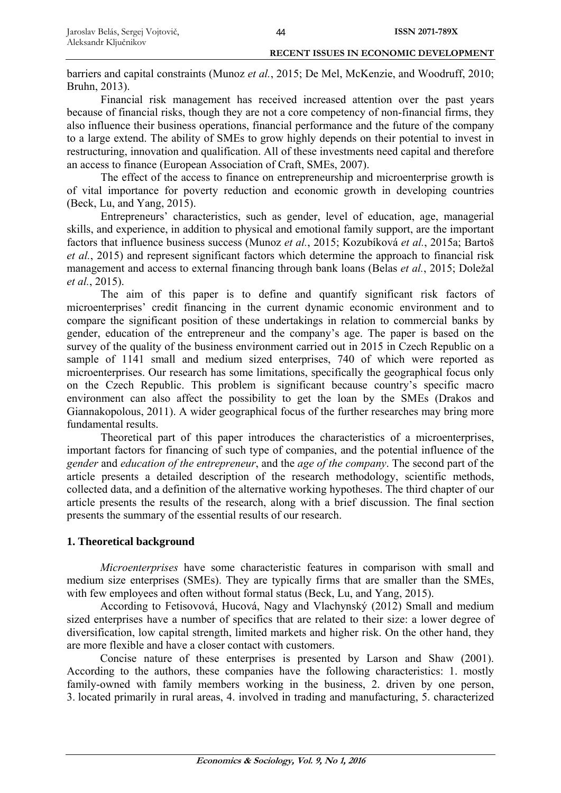barriers and capital constraints (Munoz *et al.*, 2015; De Mel, McKenzie, and Woodruff, 2010; Bruhn, 2013).

Financial risk management has received increased attention over the past years because of financial risks, though they are not a core competency of non-financial firms, they also influence their business operations, financial performance and the future of the company to a large extend. The ability of SMEs to grow highly depends on their potential to invest in restructuring, innovation and qualification. All of these investments need capital and therefore an access to finance (European Association of Craft, SMEs, 2007).

The effect of the access to finance on entrepreneurship and microenterprise growth is of vital importance for poverty reduction and economic growth in developing countries (Beck, Lu, and Yang, 2015).

Entrepreneurs' characteristics, such as gender, level of education, age, managerial skills, and experience, in addition to physical and emotional family support, are the important factors that influence business success (Munoz *et al.*, 2015; Kozubíková *et al.*, 2015a; Bartoš *et al.*, 2015) and represent significant factors which determine the approach to financial risk management and access to external financing through bank loans (Belas *et al.*, 2015; Doležal *et al.*, 2015).

The aim of this paper is to define and quantify significant risk factors of microenterprises' credit financing in the current dynamic economic environment and to compare the significant position of these undertakings in relation to commercial banks by gender, education of the entrepreneur and the company's age. The paper is based on the survey of the quality of the business environment carried out in 2015 in Czech Republic on a sample of 1141 small and medium sized enterprises, 740 of which were reported as microenterprises. Our research has some limitations, specifically the geographical focus only on the Czech Republic. This problem is significant because country's specific macro environment can also affect the possibility to get the loan by the SMEs (Drakos and Giannakopolous, 2011). A wider geographical focus of the further researches may bring more fundamental results.

Theoretical part of this paper introduces the characteristics of a microenterprises, important factors for financing of such type of companies, and the potential influence of the *gender* and *education of the entrepreneur*, and the *age of the company*. The second part of the article presents a detailed description of the research methodology, scientific methods, collected data, and a definition of the alternative working hypotheses. The third chapter of our article presents the results of the research, along with a brief discussion. The final section presents the summary of the essential results of our research.

## **1. Theoretical background**

*Microenterprises* have some characteristic features in comparison with small and medium size enterprises (SMEs). They are typically firms that are smaller than the SMEs, with few employees and often without formal status (Beck, Lu, and Yang, 2015).

According to Fetisovová, Hucová, Nagy and Vlachynský (2012) Small and medium sized enterprises have a number of specifics that are related to their size: a lower degree of diversification, low capital strength, limited markets and higher risk. On the other hand, they are more flexible and have a closer contact with customers.

Concise nature of these enterprises is presented by Larson and Shaw (2001). According to the authors, these companies have the following characteristics: 1. mostly family-owned with family members working in the business, 2. driven by one person, 3. located primarily in rural areas, 4. involved in trading and manufacturing, 5. characterized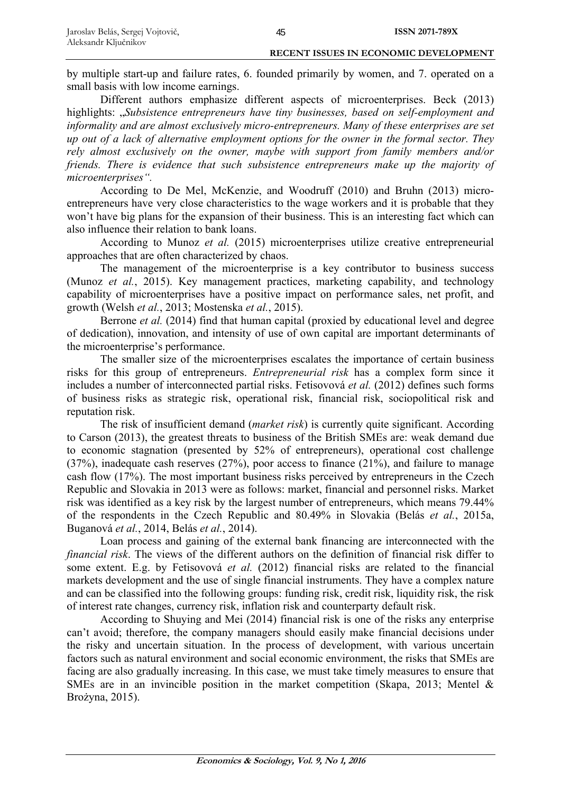by multiple start-up and failure rates, 6. founded primarily by women, and 7. operated on a small basis with low income earnings.

Different authors emphasize different aspects of microenterprises. Beck (2013) highlights: "Subsistence entrepreneurs have tiny businesses, based on self-employment and *informality and are almost exclusively micro-entrepreneurs. Many of these enterprises are set up out of a lack of alternative employment options for the owner in the formal sector. They rely almost exclusively on the owner, maybe with support from family members and/or friends. There is evidence that such subsistence entrepreneurs make up the majority of microenterprises".*

According to De Mel, McKenzie, and Woodruff (2010) and Bruhn (2013) microentrepreneurs have very close characteristics to the wage workers and it is probable that they won't have big plans for the expansion of their business. This is an interesting fact which can also influence their relation to bank loans.

According to Munoz *et al.* (2015) microenterprises utilize creative entrepreneurial approaches that are often characterized by chaos.

The management of the microenterprise is a key contributor to business success (Munoz *et al.*, 2015). Key management practices, marketing capability, and technology capability of microenterprises have a positive impact on performance sales, net profit, and growth (Welsh *et al.*, 2013; Mostenska *et al.*, 2015).

Berrone *et al.* (2014) find that human capital (proxied by educational level and degree of dedication), innovation, and intensity of use of own capital are important determinants of the microenterprise's performance.

The smaller size of the microenterprises escalates the importance of certain business risks for this group of entrepreneurs. *Entrepreneurial risk* has a complex form since it includes a number of interconnected partial risks. Fetisovová *et al.* (2012) defines such forms of business risks as strategic risk, operational risk, financial risk, sociopolitical risk and reputation risk.

The risk of insufficient demand (*market risk*) is currently quite significant. According to Carson (2013), the greatest threats to business of the British SMEs are: weak demand due to economic stagnation (presented by 52% of entrepreneurs), operational cost challenge (37%), inadequate cash reserves (27%), poor access to finance (21%), and failure to manage cash flow (17%). The most important business risks perceived by entrepreneurs in the Czech Republic and Slovakia in 2013 were as follows: market, financial and personnel risks. Market risk was identified as a key risk by the largest number of entrepreneurs, which means 79.44% of the respondents in the Czech Republic and 80.49% in Slovakia (Belás *et al.*, 2015a, Buganová *et al.*, 2014, Belás *et al.*, 2014).

Loan process and gaining of the external bank financing are interconnected with the *financial risk*. The views of the different authors on the definition of financial risk differ to some extent. E.g. by Fetisovová *et al.* (2012) financial risks are related to the financial markets development and the use of single financial instruments. They have a complex nature and can be classified into the following groups: funding risk, credit risk, liquidity risk, the risk of interest rate changes, currency risk, inflation risk and counterparty default risk.

According to Shuying and Mei (2014) financial risk is one of the risks any enterprise can't avoid; therefore, the company managers should easily make financial decisions under the risky and uncertain situation. In the process of development, with various uncertain factors such as natural environment and social economic environment, the risks that SMEs are facing are also gradually increasing. In this case, we must take timely measures to ensure that SMEs are in an invincible position in the market competition (Skapa, 2013; Mentel & Brożyna, 2015).

45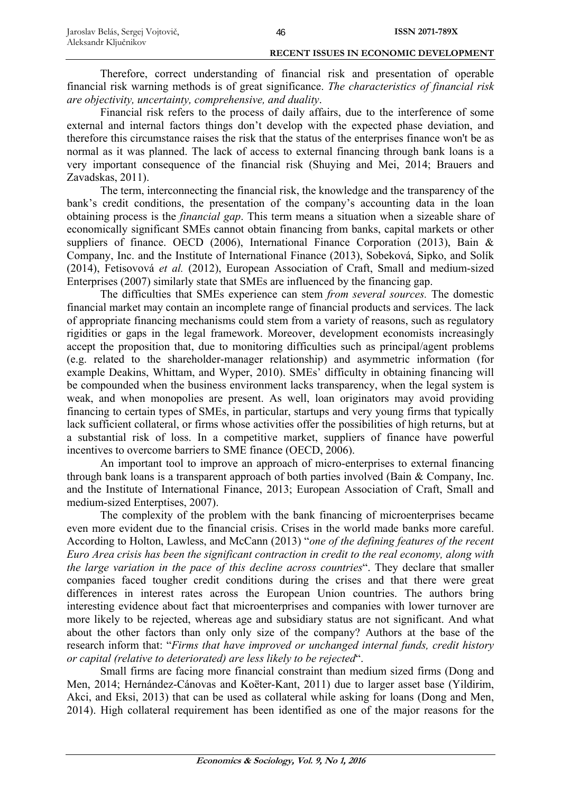Therefore, correct understanding of financial risk and presentation of operable financial risk warning methods is of great significance. *The characteristics of financial risk are objectivity, uncertainty, comprehensive, and duality*.

46

Financial risk refers to the process of daily affairs, due to the interference of some external and internal factors things don't develop with the expected phase deviation, and therefore this circumstance raises the risk that the status of the enterprises finance won't be as normal as it was planned. The lack of access to external financing through bank loans is a very important consequence of the financial risk (Shuying and Mei, 2014; Brauers and Zavadskas, 2011).

The term, interconnecting the financial risk, the knowledge and the transparency of the bank's credit conditions, the presentation of the company's accounting data in the loan obtaining process is the *financial gap*. This term means a situation when a sizeable share of economically significant SMEs cannot obtain financing from banks, capital markets or other suppliers of finance. OECD (2006), International Finance Corporation (2013), Bain & Company, Inc. and the Institute of International Finance (2013), Sobeková, Sipko, and Solík (2014), Fetisovová *et al.* (2012), European Association of Craft, Small and medium-sized Enterprises (2007) similarly state that SMEs are influenced by the financing gap.

The difficulties that SMEs experience can stem *from several sources.* The domestic financial market may contain an incomplete range of financial products and services. The lack of appropriate financing mechanisms could stem from a variety of reasons, such as regulatory rigidities or gaps in the legal framework. Moreover, development economists increasingly accept the proposition that, due to monitoring difficulties such as principal/agent problems (e.g. related to the shareholder-manager relationship) and asymmetric information (for example Deakins, Whittam, and Wyper, 2010). SMEs' difficulty in obtaining financing will be compounded when the business environment lacks transparency, when the legal system is weak, and when monopolies are present. As well, loan originators may avoid providing financing to certain types of SMEs, in particular, startups and very young firms that typically lack sufficient collateral, or firms whose activities offer the possibilities of high returns, but at a substantial risk of loss. In a competitive market, suppliers of finance have powerful incentives to overcome barriers to SME finance (OECD, 2006).

An important tool to improve an approach of micro-enterprises to external financing through bank loans is a transparent approach of both parties involved (Bain & Company, Inc. and the Institute of International Finance, 2013; European Association of Craft, Small and medium-sized Enterptises, 2007).

The complexity of the problem with the bank financing of microenterprises became even more evident due to the financial crisis. Crises in the world made banks more careful. According to Holton, Lawless, and McCann (2013) "*one of the defining features of the recent Euro Area crisis has been the significant contraction in credit to the real economy, along with the large variation in the pace of this decline across countries*". They declare that smaller companies faced tougher credit conditions during the crises and that there were great differences in interest rates across the European Union countries. The authors bring interesting evidence about fact that microenterprises and companies with lower turnover are more likely to be rejected, whereas age and subsidiary status are not significant. And what about the other factors than only only size of the company? Authors at the base of the research inform that: "*Firms that have improved or unchanged internal funds, credit history or capital (relative to deteriorated) are less likely to be rejected*".

Small firms are facing more financial constraint than medium sized firms (Dong and Men, 2014; Hernández-Cánovas and Koëter-Kant, 2011) due to larger asset base (Yildirim, Akci, and Eksi, 2013) that can be used as collateral while asking for loans (Dong and Men, 2014). High collateral requirement has been identified as one of the major reasons for the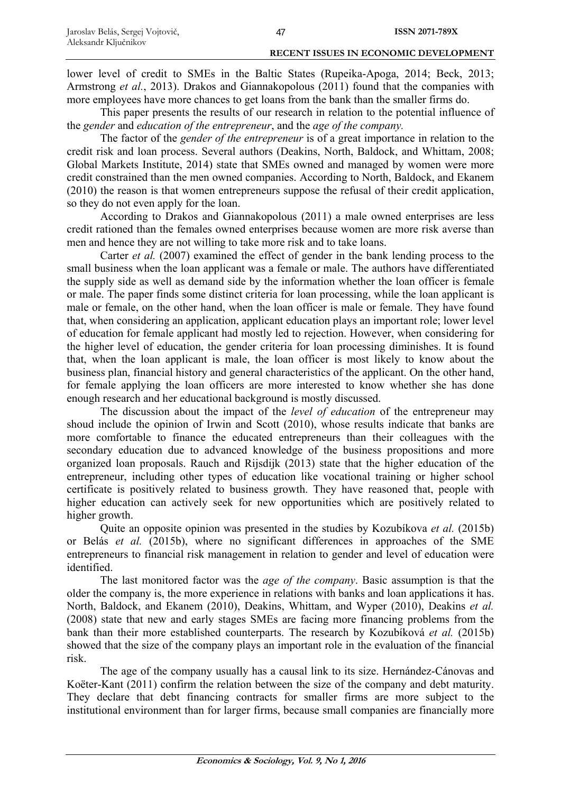lower level of credit to SMEs in the Baltic States (Rupeika-Apoga, 2014; Beck, 2013; Armstrong *et al.*, 2013). Drakos and Giannakopolous (2011) found that the companies with more employees have more chances to get loans from the bank than the smaller firms do.

This paper presents the results of our research in relation to the potential influence of the *gender* and *education of the entrepreneur*, and the *age of the company.*

The factor of the *gender of the entrepreneur* is of a great importance in relation to the credit risk and loan process. Several authors (Deakins, North, Baldock, and Whittam, 2008; Global Markets Institute, 2014) state that SMEs owned and managed by women were more credit constrained than the men owned companies. According to North, Baldock, and Ekanem (2010) the reason is that women entrepreneurs suppose the refusal of their credit application, so they do not even apply for the loan.

According to Drakos and Giannakopolous (2011) a male owned enterprises are less credit rationed than the females owned enterprises because women are more risk averse than men and hence they are not willing to take more risk and to take loans.

Carter *et al.* (2007) examined the effect of gender in the bank lending process to the small business when the loan applicant was a female or male. The authors have differentiated the supply side as well as demand side by the information whether the loan officer is female or male. The paper finds some distinct criteria for loan processing, while the loan applicant is male or female, on the other hand, when the loan officer is male or female. They have found that, when considering an application, applicant education plays an important role; lower level of education for female applicant had mostly led to rejection. However, when considering for the higher level of education, the gender criteria for loan processing diminishes. It is found that, when the loan applicant is male, the loan officer is most likely to know about the business plan, financial history and general characteristics of the applicant. On the other hand, for female applying the loan officers are more interested to know whether she has done enough research and her educational background is mostly discussed.

The discussion about the impact of the *level of education* of the entrepreneur may shoud include the opinion of Irwin and Scott (2010), whose results indicate that banks are more comfortable to finance the educated entrepreneurs than their colleagues with the secondary education due to advanced knowledge of the business propositions and more organized loan proposals. Rauch and Rijsdijk (2013) state that the higher education of the entrepreneur, including other types of education like vocational training or higher school certificate is positively related to business growth. They have reasoned that, people with higher education can actively seek for new opportunities which are positively related to higher growth.

Quite an opposite opinion was presented in the studies by Kozubíkova *et al.* (2015b) or Belás *et al.* (2015b), where no significant differences in approaches of the SME entrepreneurs to financial risk management in relation to gender and level of education were identified.

The last monitored factor was the *age of the company*. Basic assumption is that the older the company is, the more experience in relations with banks and loan applications it has. North, Baldock, and Ekanem (2010), Deakins, Whittam, and Wyper (2010), Deakins *et al.* (2008) state that new and early stages SMEs are facing more financing problems from the bank than their more established counterparts. The research by Kozubíková *et al.* (2015b) showed that the size of the company plays an important role in the evaluation of the financial risk.

The age of the company usually has a causal link to its size. Hernández-Cánovas and Koëter-Kant (2011) confirm the relation between the size of the company and debt maturity. They declare that debt financing contracts for smaller firms are more subject to the institutional environment than for larger firms, because small companies are financially more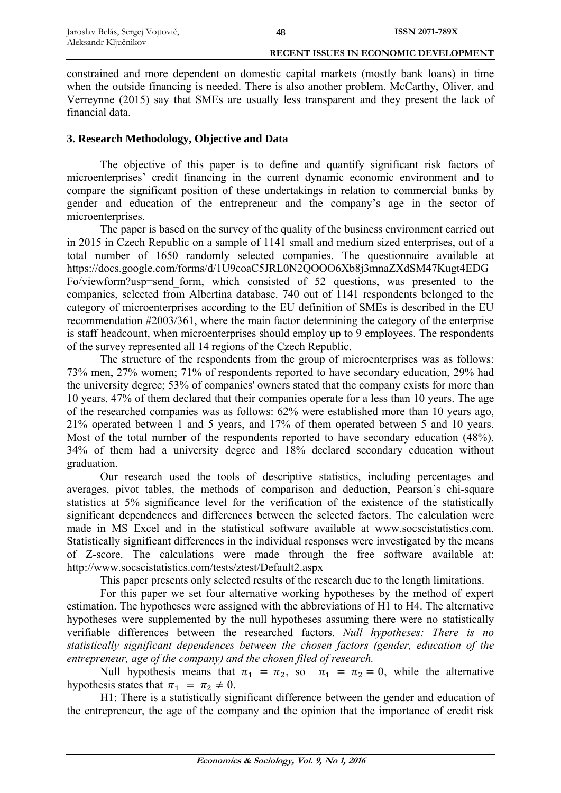constrained and more dependent on domestic capital markets (mostly bank loans) in time when the outside financing is needed. There is also another problem. McCarthy, Oliver, and Verreynne (2015) say that SMEs are usually less transparent and they present the lack of financial data.

## **3. Research Methodology, Objective and Data**

The objective of this paper is to define and quantify significant risk factors of microenterprises' credit financing in the current dynamic economic environment and to compare the significant position of these undertakings in relation to commercial banks by gender and education of the entrepreneur and the company's age in the sector of microenterprises.

The paper is based on the survey of the quality of the business environment carried out in 2015 in Czech Republic on a sample of 1141 small and medium sized enterprises, out of a total number of 1650 randomly selected companies. The questionnaire available at https://docs.google.com/forms/d/1U9coaC5JRL0N2QOOO6Xb8j3mnaZXdSM47Kugt4EDG Fo/viewform?usp=send\_form, which consisted of 52 questions, was presented to the companies, selected from Albertina database. 740 out of 1141 respondents belonged to the category of microenterprises according to the EU definition of SMEs is described in the EU recommendation #2003/361, where the main factor determining the category of the enterprise is staff headcount, when microenterprises should employ up to 9 employees. The respondents of the survey represented all 14 regions of the Czech Republic.

The structure of the respondents from the group of microenterprises was as follows: 73% men, 27% women; 71% of respondents reported to have secondary education, 29% had the university degree; 53% of companies' owners stated that the company exists for more than 10 years, 47% of them declared that their companies operate for a less than 10 years. The age of the researched companies was as follows: 62% were established more than 10 years ago, 21% operated between 1 and 5 years, and 17% of them operated between 5 and 10 years. Most of the total number of the respondents reported to have secondary education (48%), 34% of them had a university degree and 18% declared secondary education without graduation.

Our research used the tools of descriptive statistics, including percentages and averages, pivot tables, the methods of comparison and deduction, Pearson´s chi-square statistics at 5% significance level for the verification of the existence of the statistically significant dependences and differences between the selected factors. The calculation were made in MS Excel and in the statistical software available at www.socscistatistics.com. Statistically significant differences in the individual responses were investigated by the means of Z-score. The calculations were made through the free software available at: http://www.socscistatistics.com/tests/ztest/Default2.aspx

This paper presents only selected results of the research due to the length limitations.

For this paper we set four alternative working hypotheses by the method of expert estimation. The hypotheses were assigned with the abbreviations of H1 to H4. The alternative hypotheses were supplemented by the null hypotheses assuming there were no statistically verifiable differences between the researched factors. *Null hypotheses: There is no statistically significant dependences between the chosen factors (gender, education of the entrepreneur, age of the company) and the chosen filed of research.* 

Null hypothesis means that  $\pi_1 = \pi_2$ , so  $\pi_1 = \pi_2 = 0$ , while the alternative hypothesis states that  $\pi_1 = \pi_2 \neq 0$ .

H1: There is a statistically significant difference between the gender and education of the entrepreneur, the age of the company and the opinion that the importance of credit risk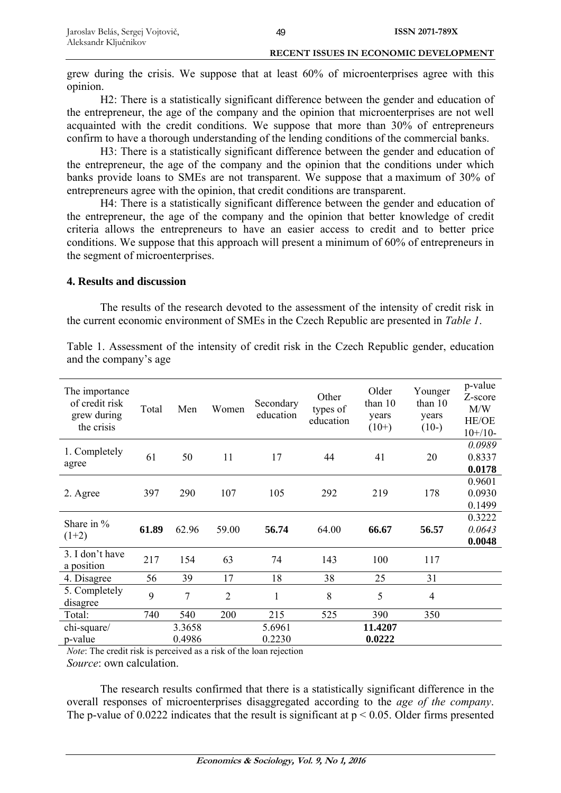grew during the crisis. We suppose that at least 60% of microenterprises agree with this opinion.

H2: There is a statistically significant difference between the gender and education of the entrepreneur, the age of the company and the opinion that microenterprises are not well acquainted with the credit conditions. We suppose that more than 30% of entrepreneurs confirm to have a thorough understanding of the lending conditions of the commercial banks.

H3: There is a statistically significant difference between the gender and education of the entrepreneur, the age of the company and the opinion that the conditions under which banks provide loans to SMEs are not transparent. We suppose that a maximum of 30% of entrepreneurs agree with the opinion, that credit conditions are transparent.

H4: There is a statistically significant difference between the gender and education of the entrepreneur, the age of the company and the opinion that better knowledge of credit criteria allows the entrepreneurs to have an easier access to credit and to better price conditions. We suppose that this approach will present a minimum of 60% of entrepreneurs in the segment of microenterprises.

## **4. Results and discussion**

The results of the research devoted to the assessment of the intensity of credit risk in the current economic environment of SMEs in the Czech Republic are presented in *Table 1*.

| The importance<br>of credit risk<br>grew during<br>the crisis | Total | Men              | Women          | Secondary<br>education | Other<br>types of<br>education | Older<br>than $10$<br>years<br>$(10+)$ | Younger<br>than 10<br>years<br>$(10-)$ | p-value<br>Z-score<br>M/W<br>HE/OE<br>$10+/10-$ |
|---------------------------------------------------------------|-------|------------------|----------------|------------------------|--------------------------------|----------------------------------------|----------------------------------------|-------------------------------------------------|
| 1. Completely<br>agree                                        | 61    | 50               | 11             | 17                     | 44                             | 41                                     | 20                                     | 0.0989<br>0.8337<br>0.0178                      |
| 2. Agree                                                      | 397   | 290              | 107            | 105                    | 292                            | 219                                    | 178                                    | 0.9601<br>0.0930<br>0.1499                      |
| Share in $\%$<br>$(1+2)$                                      | 61.89 | 62.96            | 59.00          | 56.74                  | 64.00                          | 66.67                                  | 56.57                                  | 0.3222<br>0.0643<br>0.0048                      |
| 3. I don't have<br>a position                                 | 217   | 154              | 63             | 74                     | 143                            | 100                                    | 117                                    |                                                 |
| 4. Disagree                                                   | 56    | 39               | 17             | 18                     | 38                             | 25                                     | 31                                     |                                                 |
| 5. Completely<br>disagree                                     | 9     | 7                | $\overline{2}$ | 1                      | 8                              | 5                                      | 4                                      |                                                 |
| Total:                                                        | 740   | 540              | 200            | 215                    | 525                            | 390                                    | 350                                    |                                                 |
| chi-square/<br>p-value                                        |       | 3.3658<br>0.4986 |                | 5.6961<br>0.2230       |                                | 11.4207<br>0.0222                      |                                        |                                                 |

Table 1. Assessment of the intensity of credit risk in the Czech Republic gender, education and the company's age

*Note*: The credit risk is perceived as a risk of the loan rejection *Source*: own calculation.

The research results confirmed that there is a statistically significant difference in the overall responses of microenterprises disaggregated according to the *age of the company*. The p-value of 0.0222 indicates that the result is significant at  $p < 0.05$ . Older firms presented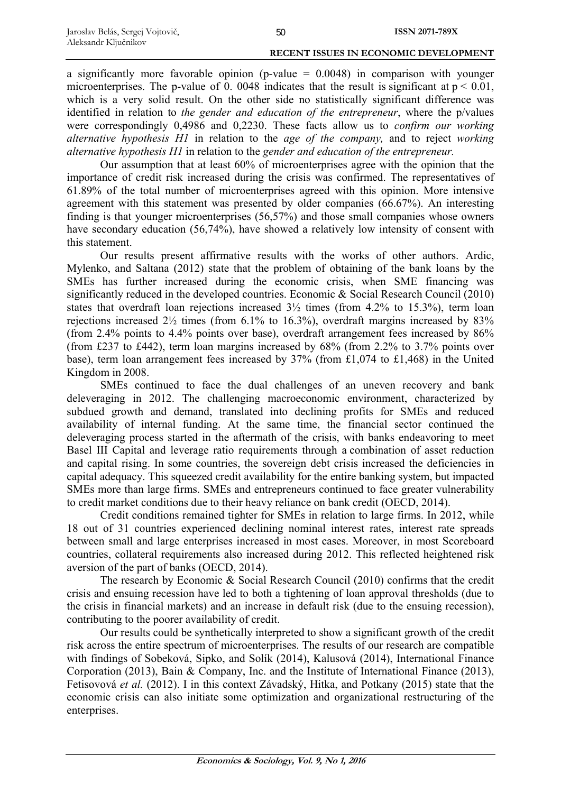a significantly more favorable opinion (p-value  $= 0.0048$ ) in comparison with younger microenterprises. The p-value of 0. 0048 indicates that the result is significant at  $p < 0.01$ , which is a very solid result. On the other side no statistically significant difference was identified in relation to *the gender and education of the entrepreneur*, where the p/values were correspondingly 0,4986 and 0,2230. These facts allow us to *confirm our working alternative hypothesis H1* in relation to the *age of the company,* and to reject *working alternative hypothesis H1* in relation to the *gender and education of the entrepreneur.*

Our assumption that at least 60% of microenterprises agree with the opinion that the importance of credit risk increased during the crisis was confirmed. The representatives of 61.89% of the total number of microenterprises agreed with this opinion. More intensive agreement with this statement was presented by older companies (66.67%). An interesting finding is that younger microenterprises (56,57%) and those small companies whose owners have secondary education (56,74%), have showed a relatively low intensity of consent with this statement.

Our results present affirmative results with the works of other authors. Ardic, Mylenko, and Saltana (2012) state that the problem of obtaining of the bank loans by the SMEs has further increased during the economic crisis, when SME financing was significantly reduced in the developed countries. Economic & Social Research Council (2010) states that overdraft loan rejections increased  $3\frac{1}{2}$  times (from 4.2% to 15.3%), term loan rejections increased 2½ times (from 6.1% to 16.3%), overdraft margins increased by 83% (from 2.4% points to 4.4% points over base), overdraft arrangement fees increased by 86% (from £237 to £442), term loan margins increased by 68% (from 2.2% to 3.7% points over base), term loan arrangement fees increased by 37% (from £1,074 to £1,468) in the United Kingdom in 2008.

SMEs continued to face the dual challenges of an uneven recovery and bank deleveraging in 2012. The challenging macroeconomic environment, characterized by subdued growth and demand, translated into declining profits for SMEs and reduced availability of internal funding. At the same time, the financial sector continued the deleveraging process started in the aftermath of the crisis, with banks endeavoring to meet Basel III Capital and leverage ratio requirements through a combination of asset reduction and capital rising. In some countries, the sovereign debt crisis increased the deficiencies in capital adequacy. This squeezed credit availability for the entire banking system, but impacted SMEs more than large firms. SMEs and entrepreneurs continued to face greater vulnerability to credit market conditions due to their heavy reliance on bank credit (OECD, 2014).

Credit conditions remained tighter for SMEs in relation to large firms. In 2012, while 18 out of 31 countries experienced declining nominal interest rates, interest rate spreads between small and large enterprises increased in most cases. Moreover, in most Scoreboard countries, collateral requirements also increased during 2012. This reflected heightened risk aversion of the part of banks (OECD, 2014).

The research by Economic & Social Research Council (2010) confirms that the credit crisis and ensuing recession have led to both a tightening of loan approval thresholds (due to the crisis in financial markets) and an increase in default risk (due to the ensuing recession), contributing to the poorer availability of credit.

Our results could be synthetically interpreted to show a significant growth of the credit risk across the entire spectrum of microenterprises. The results of our research are compatible with findings of Sobeková, Sipko, and Solík (2014), Kalusová (2014), International Finance Corporation (2013), Bain & Company, Inc. and the Institute of International Finance (2013), Fetisovová *et al.* (2012). I in this context Závadský, Hitka, and Potkany (2015) state that the economic crisis can also initiate some optimization and organizational restructuring of the enterprises.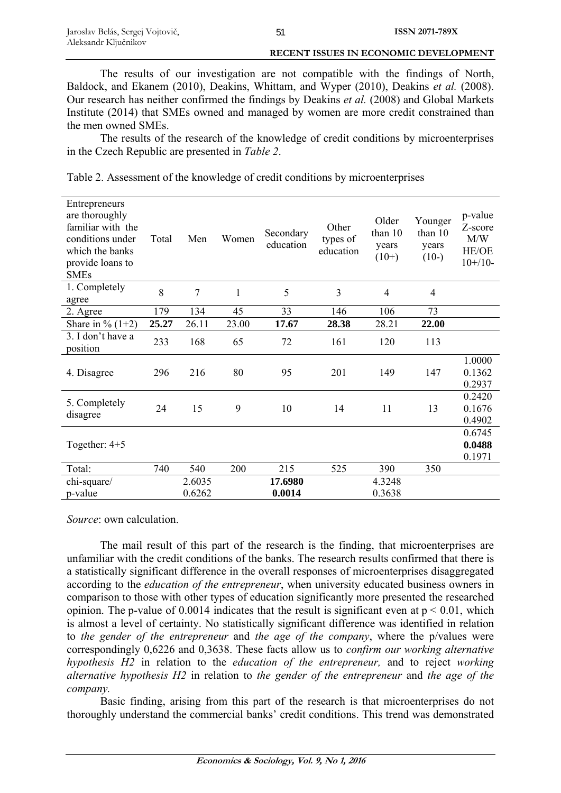The results of our investigation are not compatible with the findings of North, Baldock, and Ekanem (2010), Deakins, Whittam, and Wyper (2010), Deakins *et al.* (2008). Our research has neither confirmed the findings by Deakins *et al.* (2008) and Global Markets Institute (2014) that SMEs owned and managed by women are more credit constrained than the men owned SMEs.

The results of the research of the knowledge of credit conditions by microenterprises in the Czech Republic are presented in *Table 2*.

| Table 2. Assessment of the knowledge of credit conditions by microenterprises |  |  |  |  |  |
|-------------------------------------------------------------------------------|--|--|--|--|--|
|                                                                               |  |  |  |  |  |
|                                                                               |  |  |  |  |  |

| Entrepreneurs<br>are thoroughly<br>familiar with the<br>conditions under<br>which the banks<br>provide loans to<br><b>SMEs</b> | Total | Men    | Women        | Secondary<br>education | Other<br>types of<br>education | Older<br>than 10<br>years<br>$(10+)$ | Younger<br>than 10<br>years<br>$(10-)$ | p-value<br>Z-score<br>M/W<br>HE/OE<br>$10+/10-$ |
|--------------------------------------------------------------------------------------------------------------------------------|-------|--------|--------------|------------------------|--------------------------------|--------------------------------------|----------------------------------------|-------------------------------------------------|
| 1. Completely<br>agree                                                                                                         | 8     | 7      | $\mathbf{1}$ | 5                      | 3                              | $\overline{4}$                       | $\overline{4}$                         |                                                 |
| 2. Agree                                                                                                                       | 179   | 134    | 45           | 33                     | 146                            | 106                                  | 73                                     |                                                 |
| Share in $\%$ (1+2)                                                                                                            | 25.27 | 26.11  | 23.00        | 17.67                  | 28.38                          | 28.21                                | 22.00                                  |                                                 |
| 3. I don't have a<br>position                                                                                                  | 233   | 168    | 65           | 72                     | 161                            | 120                                  | 113                                    |                                                 |
| 4. Disagree                                                                                                                    | 296   | 216    | 80           | 95                     | 201                            | 149                                  | 147                                    | 1.0000<br>0.1362<br>0.2937                      |
| 5. Completely<br>disagree                                                                                                      | 24    | 15     | 9            | 10                     | 14                             | 11                                   | 13                                     | 0.2420<br>0.1676<br>0.4902                      |
| Together: $4+5$                                                                                                                |       |        |              |                        |                                |                                      |                                        | 0.6745<br>0.0488<br>0.1971                      |
| Total:                                                                                                                         | 740   | 540    | 200          | 215                    | 525                            | 390                                  | 350                                    |                                                 |
| chi-square/                                                                                                                    |       | 2.6035 |              | 17.6980                |                                | 4.3248                               |                                        |                                                 |
| p-value                                                                                                                        |       | 0.6262 |              | 0.0014                 |                                | 0.3638                               |                                        |                                                 |

*Source*: own calculation.

The mail result of this part of the research is the finding, that microenterprises are unfamiliar with the credit conditions of the banks. The research results confirmed that there is a statistically significant difference in the overall responses of microenterprises disaggregated according to the *education of the entrepreneur*, when university educated business owners in comparison to those with other types of education significantly more presented the researched opinion. The p-value of 0.0014 indicates that the result is significant even at  $p < 0.01$ , which is almost a level of certainty. No statistically significant difference was identified in relation to *the gender of the entrepreneur* and *the age of the company*, where the p/values were correspondingly 0,6226 and 0,3638. These facts allow us to *confirm our working alternative hypothesis H2* in relation to the *education of the entrepreneur,* and to reject *working alternative hypothesis H2* in relation to *the gender of the entrepreneur* and *the age of the company.*

Basic finding, arising from this part of the research is that microenterprises do not thoroughly understand the commercial banks' credit conditions. This trend was demonstrated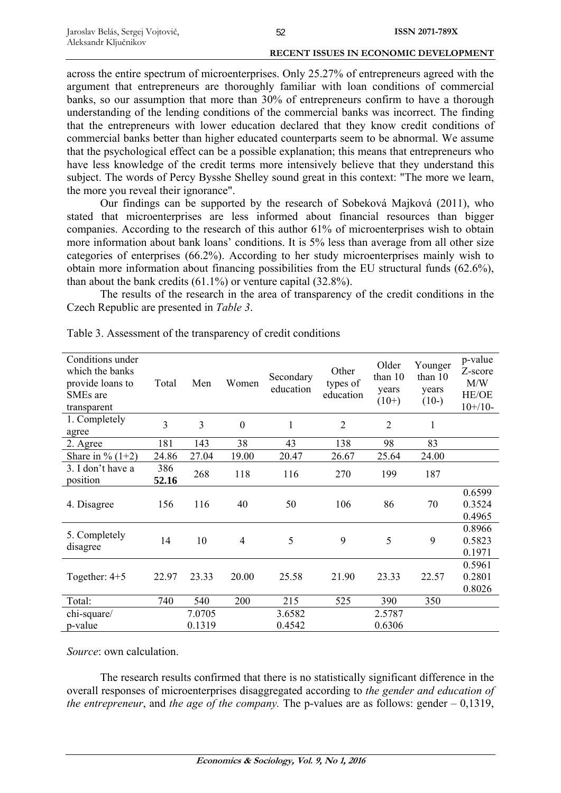across the entire spectrum of microenterprises. Only 25.27% of entrepreneurs agreed with the argument that entrepreneurs are thoroughly familiar with loan conditions of commercial banks, so our assumption that more than 30% of entrepreneurs confirm to have a thorough understanding of the lending conditions of the commercial banks was incorrect. The finding that the entrepreneurs with lower education declared that they know credit conditions of commercial banks better than higher educated counterparts seem to be abnormal. We assume that the psychological effect can be a possible explanation; this means that entrepreneurs who have less knowledge of the credit terms more intensively believe that they understand this subject. The words of Percy Bysshe Shelley sound great in this context: "The more we learn, the more you reveal their ignorance".

Our findings can be supported by the research of Sobeková Majková (2011), who stated that microenterprises are less informed about financial resources than bigger companies. According to the research of this author 61% of microenterprises wish to obtain more information about bank loans' conditions. It is 5% less than average from all other size categories of enterprises (66.2%). According to her study microenterprises mainly wish to obtain more information about financing possibilities from the EU structural funds (62.6%), than about the bank credits (61.1%) or venture capital (32.8%).

The results of the research in the area of transparency of the credit conditions in the Czech Republic are presented in *Table 3*.

| Conditions under<br>which the banks<br>provide loans to<br>SME <sub>s</sub> are<br>transparent | Total        | Men    | Women            | Secondary<br>education | Other<br>types of<br>education | Older<br>than 10<br>years<br>$(10+)$ | Younger<br>than 10<br>years<br>$(10-)$ | p-value<br>Z-score<br>M/W<br>HE/OE<br>$10+/10-$ |
|------------------------------------------------------------------------------------------------|--------------|--------|------------------|------------------------|--------------------------------|--------------------------------------|----------------------------------------|-------------------------------------------------|
| 1. Completely<br>agree                                                                         | 3            | 3      | $\boldsymbol{0}$ | 1                      | $\overline{2}$                 | $\overline{2}$                       | 1                                      |                                                 |
| 2. Agree                                                                                       | 181          | 143    | 38               | 43                     | 138                            | 98                                   | 83                                     |                                                 |
| Share in $\%$ (1+2)                                                                            | 24.86        | 27.04  | 19.00            | 20.47                  | 26.67                          | 25.64                                | 24.00                                  |                                                 |
| 3. I don't have a<br>position                                                                  | 386<br>52.16 | 268    | 118              | 116                    | 270                            | 199                                  | 187                                    |                                                 |
| 4. Disagree                                                                                    | 156          | 116    | 40               | 50                     | 106                            | 86                                   | 70                                     | 0.6599<br>0.3524<br>0.4965                      |
| 5. Completely<br>disagree                                                                      | 14           | 10     | $\overline{4}$   | 5                      | 9                              | 5                                    | 9                                      | 0.8966<br>0.5823<br>0.1971                      |
| Together: $4+5$                                                                                | 22.97        | 23.33  | 20.00            | 25.58                  | 21.90                          | 23.33                                | 22.57                                  | 0.5961<br>0.2801<br>0.8026                      |
| Total:                                                                                         | 740          | 540    | 200              | 215                    | 525                            | 390                                  | 350                                    |                                                 |
| chi-square/                                                                                    |              | 7.0705 |                  | 3.6582                 |                                | 2.5787                               |                                        |                                                 |
| p-value                                                                                        |              | 0.1319 |                  | 0.4542                 |                                | 0.6306                               |                                        |                                                 |

Table 3. Assessment of the transparency of credit conditions

*Source*: own calculation.

The research results confirmed that there is no statistically significant difference in the overall responses of microenterprises disaggregated according to *the gender and education of the entrepreneur*, and *the age of the company.* The p-values are as follows: gender – 0,1319,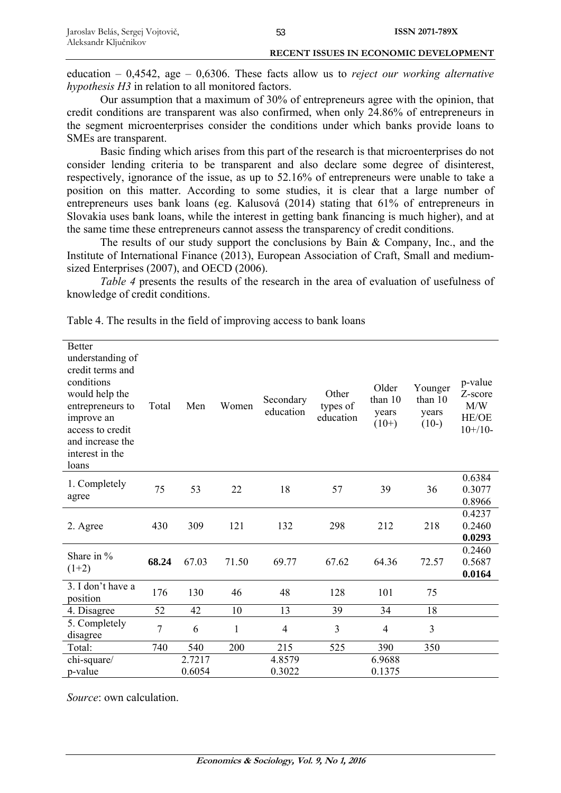education – 0,4542, age – 0,6306. These facts allow us to *reject our working alternative hypothesis H3* in relation to all monitored factors.

Our assumption that a maximum of 30% of entrepreneurs agree with the opinion, that credit conditions are transparent was also confirmed, when only 24.86% of entrepreneurs in the segment microenterprises consider the conditions under which banks provide loans to SMEs are transparent.

Basic finding which arises from this part of the research is that microenterprises do not consider lending criteria to be transparent and also declare some degree of disinterest, respectively, ignorance of the issue, as up to 52.16% of entrepreneurs were unable to take a position on this matter. According to some studies, it is clear that a large number of entrepreneurs uses bank loans (eg. Kalusová (2014) stating that 61% of entrepreneurs in Slovakia uses bank loans, while the interest in getting bank financing is much higher), and at the same time these entrepreneurs cannot assess the transparency of credit conditions.

The results of our study support the conclusions by Bain & Company, Inc., and the Institute of International Finance (2013), European Association of Craft, Small and mediumsized Enterprises (2007), and OECD (2006).

*Table 4* presents the results of the research in the area of evaluation of usefulness of knowledge of credit conditions.

| <b>Better</b><br>understanding of<br>credit terms and<br>conditions<br>would help the<br>entrepreneurs to<br>improve an<br>access to credit<br>and increase the<br>interest in the<br>loans | Total | Men              | Women        | Secondary<br>education | Other<br>types of<br>education | Older<br>than 10<br>years<br>$(10+)$ | Younger<br>than 10<br>years<br>$(10-)$ | p-value<br>Z-score<br>M/W<br>HE/OE<br>$10+/10-$ |
|---------------------------------------------------------------------------------------------------------------------------------------------------------------------------------------------|-------|------------------|--------------|------------------------|--------------------------------|--------------------------------------|----------------------------------------|-------------------------------------------------|
| 1. Completely<br>agree                                                                                                                                                                      | 75    | 53               | 22           | 18                     | 57                             | 39                                   | 36                                     | 0.6384<br>0.3077<br>0.8966                      |
| 2. Agree                                                                                                                                                                                    | 430   | 309              | 121          | 132                    | 298                            | 212                                  | 218                                    | 0.4237<br>0.2460<br>0.0293                      |
| Share in %<br>$(1+2)$                                                                                                                                                                       | 68.24 | 67.03            | 71.50        | 69.77                  | 67.62                          | 64.36                                | 72.57                                  | 0.2460<br>0.5687<br>0.0164                      |
| 3. I don't have a<br>position                                                                                                                                                               | 176   | 130              | 46           | 48                     | 128                            | 101                                  | 75                                     |                                                 |
| 4. Disagree                                                                                                                                                                                 | 52    | 42               | 10           | 13                     | 39                             | 34                                   | 18                                     |                                                 |
| 5. Completely<br>disagree                                                                                                                                                                   | 7     | 6                | $\mathbf{1}$ | $\overline{4}$         | 3                              | $\overline{4}$                       | 3                                      |                                                 |
| Total:                                                                                                                                                                                      | 740   | 540              | 200          | 215                    | 525                            | 390                                  | 350                                    |                                                 |
| chi-square/<br>p-value                                                                                                                                                                      |       | 2.7217<br>0.6054 |              | 4.8579<br>0.3022       |                                | 6.9688<br>0.1375                     |                                        |                                                 |

Table 4. The results in the field of improving access to bank loans

*Source*: own calculation.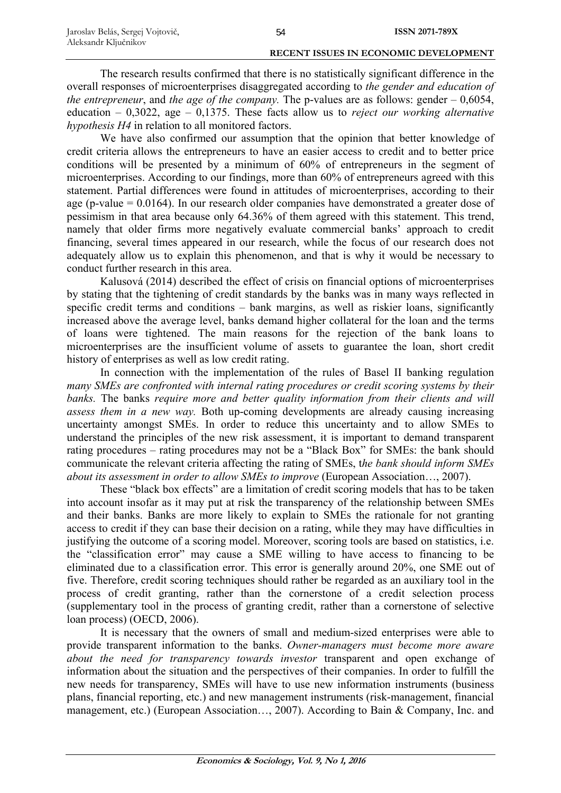| Jaroslav Belás, Sergej Vojtovič, | 54 | ISSN 2071-789X |
|----------------------------------|----|----------------|
| Aleksandr Ključnikov             |    |                |

The research results confirmed that there is no statistically significant difference in the overall responses of microenterprises disaggregated according to *the gender and education of the entrepreneur*, and *the age of the company.* The p-values are as follows: gender – 0,6054, education – 0,3022, age – 0,1375. These facts allow us to *reject our working alternative hypothesis H4* in relation to all monitored factors.

We have also confirmed our assumption that the opinion that better knowledge of credit criteria allows the entrepreneurs to have an easier access to credit and to better price conditions will be presented by a minimum of 60% of entrepreneurs in the segment of microenterprises. According to our findings, more than 60% of entrepreneurs agreed with this statement. Partial differences were found in attitudes of microenterprises, according to their age (p-value  $= 0.0164$ ). In our research older companies have demonstrated a greater dose of pessimism in that area because only 64.36% of them agreed with this statement. This trend, namely that older firms more negatively evaluate commercial banks' approach to credit financing, several times appeared in our research, while the focus of our research does not adequately allow us to explain this phenomenon, and that is why it would be necessary to conduct further research in this area.

Kalusová (2014) described the effect of crisis on financial options of microenterprises by stating that the tightening of credit standards by the banks was in many ways reflected in specific credit terms and conditions – bank margins, as well as riskier loans, significantly increased above the average level, banks demand higher collateral for the loan and the terms of loans were tightened. The main reasons for the rejection of the bank loans to microenterprises are the insufficient volume of assets to guarantee the loan, short credit history of enterprises as well as low credit rating.

In connection with the implementation of the rules of Basel II banking regulation *many SMEs are confronted with internal rating procedures or credit scoring systems by their banks.* The banks *require more and better quality information from their clients and will assess them in a new way.* Both up-coming developments are already causing increasing uncertainty amongst SMEs. In order to reduce this uncertainty and to allow SMEs to understand the principles of the new risk assessment, it is important to demand transparent rating procedures – rating procedures may not be a "Black Box" for SMEs: the bank should communicate the relevant criteria affecting the rating of SMEs, t*he bank should inform SMEs about its assessment in order to allow SMEs to improve* (European Association…, 2007).

These "black box effects" are a limitation of credit scoring models that has to be taken into account insofar as it may put at risk the transparency of the relationship between SMEs and their banks. Banks are more likely to explain to SMEs the rationale for not granting access to credit if they can base their decision on a rating, while they may have difficulties in justifying the outcome of a scoring model. Moreover, scoring tools are based on statistics, i.e. the "classification error" may cause a SME willing to have access to financing to be eliminated due to a classification error. This error is generally around 20%, one SME out of five. Therefore, credit scoring techniques should rather be regarded as an auxiliary tool in the process of credit granting, rather than the cornerstone of a credit selection process (supplementary tool in the process of granting credit, rather than a cornerstone of selective loan process) (OECD, 2006).

It is necessary that the owners of small and medium-sized enterprises were able to provide transparent information to the banks. *Owner-managers must become more aware about the need for transparency towards investor* transparent and open exchange of information about the situation and the perspectives of their companies. In order to fulfill the new needs for transparency, SMEs will have to use new information instruments (business plans, financial reporting, etc.) and new management instruments (risk-management, financial management, etc.) (European Association…, 2007). According to Bain & Company, Inc. and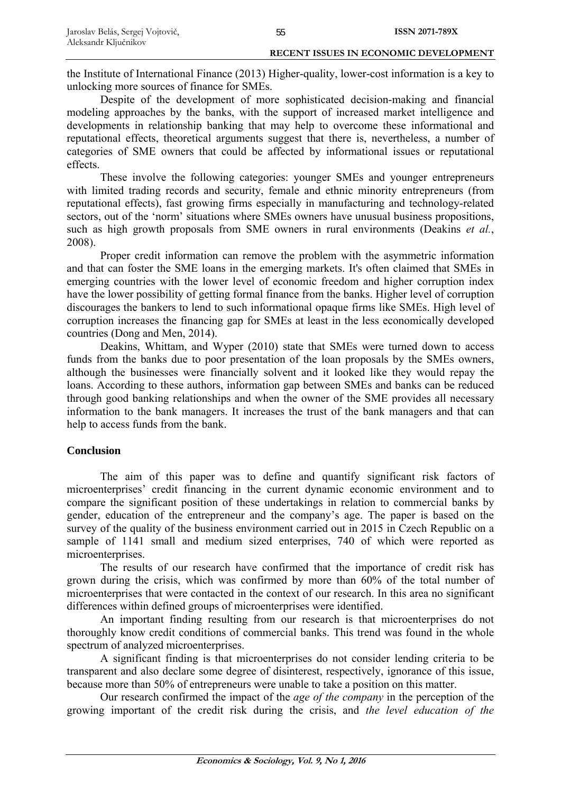the Institute of International Finance (2013) Higher-quality, lower-cost information is a key to unlocking more sources of finance for SMEs.

Despite of the development of more sophisticated decision-making and financial modeling approaches by the banks, with the support of increased market intelligence and developments in relationship banking that may help to overcome these informational and reputational effects, theoretical arguments suggest that there is, nevertheless, a number of categories of SME owners that could be affected by informational issues or reputational effects.

These involve the following categories: younger SMEs and younger entrepreneurs with limited trading records and security, female and ethnic minority entrepreneurs (from reputational effects), fast growing firms especially in manufacturing and technology-related sectors, out of the 'norm' situations where SMEs owners have unusual business propositions, such as high growth proposals from SME owners in rural environments (Deakins *et al.*, 2008).

Proper credit information can remove the problem with the asymmetric information and that can foster the SME loans in the emerging markets. It's often claimed that SMEs in emerging countries with the lower level of economic freedom and higher corruption index have the lower possibility of getting formal finance from the banks. Higher level of corruption discourages the bankers to lend to such informational opaque firms like SMEs. High level of corruption increases the financing gap for SMEs at least in the less economically developed countries (Dong and Men, 2014).

Deakins, Whittam, and Wyper (2010) state that SMEs were turned down to access funds from the banks due to poor presentation of the loan proposals by the SMEs owners, although the businesses were financially solvent and it looked like they would repay the loans. According to these authors, information gap between SMEs and banks can be reduced through good banking relationships and when the owner of the SME provides all necessary information to the bank managers. It increases the trust of the bank managers and that can help to access funds from the bank.

## **Conclusion**

The aim of this paper was to define and quantify significant risk factors of microenterprises' credit financing in the current dynamic economic environment and to compare the significant position of these undertakings in relation to commercial banks by gender, education of the entrepreneur and the company's age. The paper is based on the survey of the quality of the business environment carried out in 2015 in Czech Republic on a sample of 1141 small and medium sized enterprises, 740 of which were reported as microenterprises.

The results of our research have confirmed that the importance of credit risk has grown during the crisis, which was confirmed by more than 60% of the total number of microenterprises that were contacted in the context of our research. In this area no significant differences within defined groups of microenterprises were identified.

An important finding resulting from our research is that microenterprises do not thoroughly know credit conditions of commercial banks. This trend was found in the whole spectrum of analyzed microenterprises.

A significant finding is that microenterprises do not consider lending criteria to be transparent and also declare some degree of disinterest, respectively, ignorance of this issue, because more than 50% of entrepreneurs were unable to take a position on this matter.

Our research confirmed the impact of the *age of the company* in the perception of the growing important of the credit risk during the crisis, and *the level education of the*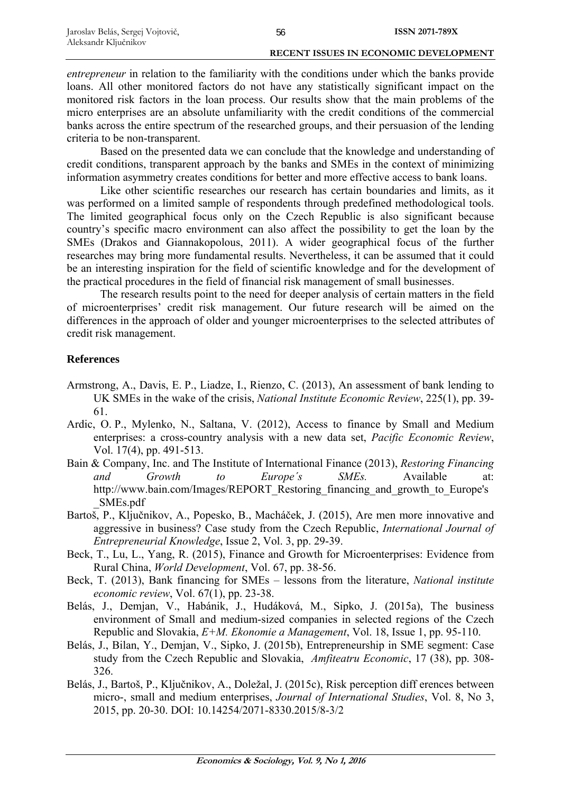*entrepreneur* in relation to the familiarity with the conditions under which the banks provide loans. All other monitored factors do not have any statistically significant impact on the monitored risk factors in the loan process. Our results show that the main problems of the micro enterprises are an absolute unfamiliarity with the credit conditions of the commercial banks across the entire spectrum of the researched groups, and their persuasion of the lending criteria to be non-transparent.

Based on the presented data we can conclude that the knowledge and understanding of credit conditions, transparent approach by the banks and SMEs in the context of minimizing information asymmetry creates conditions for better and more effective access to bank loans.

Like other scientific researches our research has certain boundaries and limits, as it was performed on a limited sample of respondents through predefined methodological tools. The limited geographical focus only on the Czech Republic is also significant because country's specific macro environment can also affect the possibility to get the loan by the SMEs (Drakos and Giannakopolous, 2011). A wider geographical focus of the further researches may bring more fundamental results. Nevertheless, it can be assumed that it could be an interesting inspiration for the field of scientific knowledge and for the development of the practical procedures in the field of financial risk management of small businesses.

The research results point to the need for deeper analysis of certain matters in the field of microenterprises' credit risk management. Our future research will be aimed on the differences in the approach of older and younger microenterprises to the selected attributes of credit risk management.

## **References**

- Armstrong, A., Davis, E. P., Liadze, I., Rienzo, C. (2013), An assessment of bank lending to UK SMEs in the wake of the crisis, *National Institute Economic Review*, 225(1), pp. 39- 61.
- Ardic, O. P., Mylenko, N., Saltana, V. (2012), Access to finance by Small and Medium enterprises: a cross-country analysis with a new data set, *Pacific Economic Review*, Vol. 17(4), pp. 491-513.
- Bain & Company, Inc. and The Institute of International Finance (2013), *Restoring Financing and Growth to Europe´s SMEs.* Available at: http://www.bain.com/Images/REPORT\_Restoring\_financing\_and\_growth\_to\_Europe's \_SMEs.pdf
- Bartoš, P., Ključnikov, A., Popesko, B., Macháček, J. (2015), Are men more innovative and aggressive in business? Case study from the Czech Republic, *International Journal of Entrepreneurial Knowledge*, Issue 2, Vol. 3, pp. 29-39.
- Beck, T., Lu, L., Yang, R. (2015), Finance and Growth for Microenterprises: Evidence from Rural China, *World Development*, Vol. 67, pp. 38-56.
- Beck, T. (2013), Bank financing for SMEs lessons from the literature, *National institute economic review*, Vol. 67(1), pp. 23-38.
- Belás, J., Demjan, V., Habánik, J., Hudáková, M., Sipko, J. (2015a), The business environment of Small and medium-sized companies in selected regions of the Czech Republic and Slovakia, *E+M. Ekonomie a Management*, Vol. 18, Issue 1, pp. 95-110.
- Belás, J., Bilan, Y., Demjan, V., Sipko, J. (2015b), Entrepreneurship in SME segment: Case study from the Czech Republic and Slovakia, *Amfiteatru Economic*, 17 (38), pp. 308- 326.
- Belás, J., Bartoš, P., Ključnikov, A., Doležal, J. (2015c), Risk perception diff erences between micro-, small and medium enterprises, *Journal of International Studies*, Vol. 8, No 3, 2015, pp. 20-30. DOI: 10.14254/2071-8330.2015/8-3/2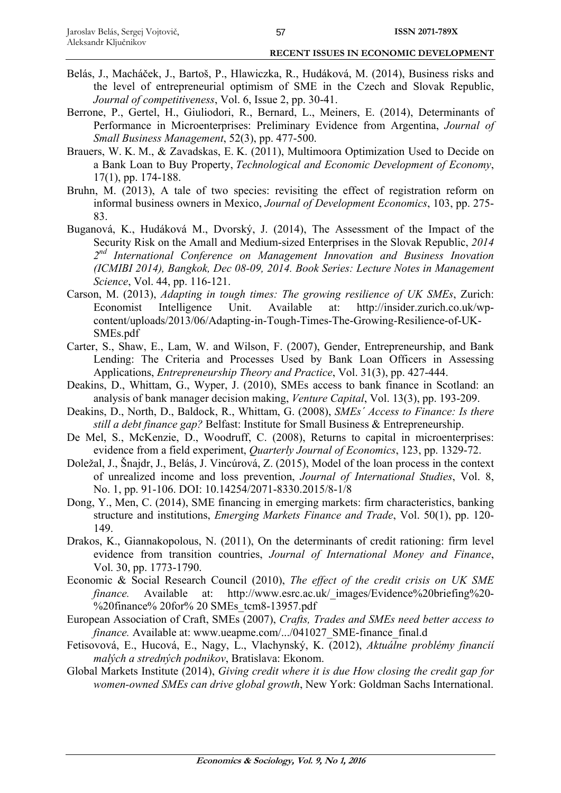- Belás, J., Macháček, J., Bartoš, P., Hlawiczka, R., Hudáková, M. (2014), Business risks and the level of entrepreneurial optimism of SME in the Czech and Slovak Republic, *Journal of competitiveness*, Vol. 6, Issue 2, pp. 30-41.
- Berrone, P., Gertel, H., Giuliodori, R., Bernard, L., Meiners, E. (2014), Determinants of Performance in Microenterprises: Preliminary Evidence from Argentina, *Journal of Small Business Management*, 52(3), pp. 477-500.
- Brauers, W. K. M., & Zavadskas, E. K. (2011), Multimoora Optimization Used to Decide on a Bank Loan to Buy Property, *Technological and Economic Development of Economy*, 17(1), pp. 174-188.
- Bruhn, M. (2013), A tale of two species: revisiting the effect of registration reform on informal business owners in Mexico, *Journal of Development Economics*, 103, pp. 275- 83.
- Buganová, K., Hudáková M., Dvorský, J. (2014), The Assessment of the Impact of the Security Risk on the Amall and Medium-sized Enterprises in the Slovak Republic, *2014 2nd International Conference on Management Innovation and Business Inovation (ICMIBI 2014), Bangkok, Dec 08-09, 2014. Book Series: Lecture Notes in Management Science*, Vol. 44, pp. 116-121.
- Carson, M. (2013), *Adapting in tough times: The growing resilience of UK SMEs*, Zurich: Economist Intelligence Unit. Available at: http://insider.zurich.co.uk/wpcontent/uploads/2013/06/Adapting-in-Tough-Times-The-Growing-Resilience-of-UK-SMEs.pdf
- Carter, S., Shaw, E., Lam, W. and Wilson, F. (2007), Gender, Entrepreneurship, and Bank Lending: The Criteria and Processes Used by Bank Loan Officers in Assessing Applications, *Entrepreneurship Theory and Practice*, Vol. 31(3), pp. 427-444.
- Deakins, D., Whittam, G., Wyper, J. (2010), SMEs access to bank finance in Scotland: an analysis of bank manager decision making, *Venture Capital*, Vol. 13(3), pp. 193-209.
- Deakins, D., North, D., Baldock, R., Whittam, G. (2008), *SMEs´ Access to Finance: Is there still a debt finance gap?* Belfast: Institute for Small Business & Entrepreneurship.
- De Mel, S., McKenzie, D., Woodruff, C. (2008), Returns to capital in microenterprises: evidence from a field experiment, *Quarterly Journal of Economics*, 123, pp. 1329-72.
- Doležal, J., Šnajdr, J., Belás, J. Vincúrová, Z. (2015), Model of the loan process in the context of unrealized income and loss prevention, *Journal of International Studies*, Vol. 8, No. 1, pp. 91-106. DOI: 10.14254/2071-8330.2015/8-1/8
- Dong, Y., Men, C. (2014), SME financing in emerging markets: firm characteristics, banking structure and institutions, *Emerging Markets Finance and Trade*, Vol. 50(1), pp. 120- 149.
- Drakos, K., Giannakopolous, N. (2011), On the determinants of credit rationing: firm level evidence from transition countries, *Journal of International Money and Finance*, Vol. 30, pp. 1773-1790.
- Economic & Social Research Council (2010), *The effect of the credit crisis on UK SME finance.* Available at: http://www.esrc.ac.uk/ images/Evidence%20briefing%20-%20finance% 20for% 20 SMEs tcm8-13957.pdf
- European Association of Craft, SMEs (2007), *Crafts, Trades and SMEs need better access to finance*. Available at: www.ueapme.com/.../041027\_SME-finance\_final.d
- Fetisovová, E., Hucová, E., Nagy, L., Vlachynský, K. (2012), *Aktuálne problémy financií malých a stredných podnikov*, Bratislava: Ekonom.
- Global Markets Institute (2014), *Giving credit where it is due How closing the credit gap for women-owned SMEs can drive global growth*, New York: Goldman Sachs International.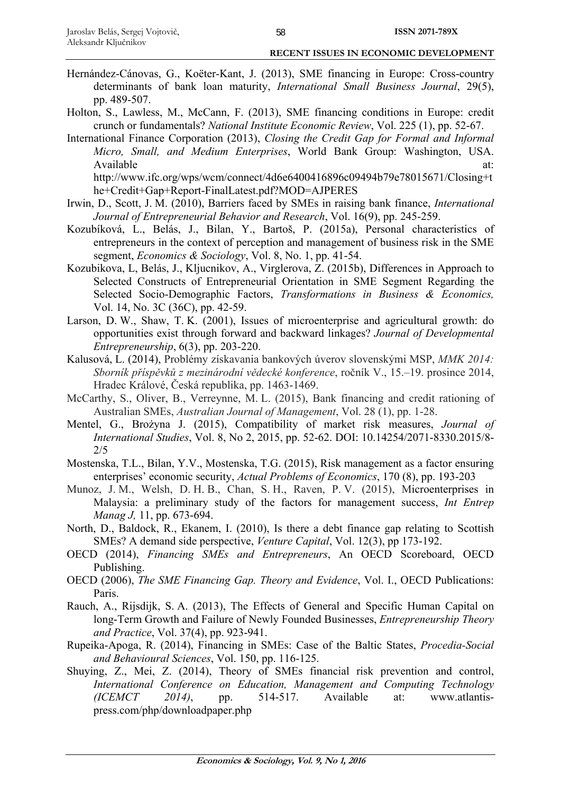- Hernández-Cánovas, G., Koëter-Kant, J. (2013), SME financing in Europe: Cross-country determinants of bank loan maturity, *International Small Business Journal*, 29(5), pp. 489-507.
- Holton, S., Lawless, M., McCann, F. (2013), SME financing conditions in Europe: credit crunch or fundamentals? *National Institute Economic Review*, Vol. 225 (1), pp. 52-67.
- International Finance Corporation (2013), *Closing the Credit Gap for Formal and Informal Micro, Small, and Medium Enterprises*, World Bank Group: Washington, USA. Available at: http://www.ifc.org/wps/wcm/connect/4d6e6400416896c09494b79e78015671/Closing+t he+Credit+Gap+Report-FinalLatest.pdf?MOD=AJPERES
- Irwin, D., Scott, J. M. (2010), Barriers faced by SMEs in raising bank finance, *International Journal of Entrepreneurial Behavior and Research*, Vol. 16(9), pp. 245-259.
- Kozubíková, L., Belás, J., Bilan, Y., Bartoš, P. (2015a), Personal characteristics of entrepreneurs in the context of perception and management of business risk in the SME segment, *Economics & Sociology*, Vol. 8, No. 1, pp. 41-54.
- Kozubikova, L, Belás, J., Kljucnikov, A., Virglerova, Z. (2015b), Differences in Approach to Selected Constructs of Entrepreneurial Orientation in SME Segment Regarding the Selected Socio-Demographic Factors, *Transformations in Business & Economics,* Vol. 14, No. 3C (36C), pp. 42-59.
- Larson, D. W., Shaw, T. K. (2001), Issues of microenterprise and agricultural growth: do opportunities exist through forward and backward linkages? *Journal of Developmental Entrepreneurship*, 6(3), pp. 203-220.
- Kalusová, L. (2014), Problémy získavania bankových úverov slovenskými MSP, *MMK 2014: Sborník příspěvků z mezinárodní vědecké konference*, ročník V., 15.–19. prosince 2014, Hradec Králové, Česká republika, pp. 1463-1469.
- McCarthy, S., Oliver, B., Verreynne, M. L. (2015), Bank financing and credit rationing of Australian SMEs, *Australian Journal of Management*, Vol. 28 (1), pp. 1-28.
- Mentel, G., Brożyna J. (2015), Compatibility of market risk measures, *Journal of International Studies*, Vol. 8, No 2, 2015, pp. 52-62. DOI: 10.14254/2071-8330.2015/8- 2/5
- Mostenska, T.L., Bilan, Y.V., Mostenska, T.G. (2015), Risk management as a factor ensuring enterprises' economic security, *Actual Problems of Economics*, 170 (8), pp. 193-203
- Munoz, J. M., Welsh, D. H. B., Chan, S. H., Raven, P. V. (2015), Microenterprises in Malaysia: a preliminary study of the factors for management success, *Int Entrep Manag J,* 11, pp. 673-694.
- North, D., Baldock, R., Ekanem, I. (2010), Is there a debt finance gap relating to Scottish SMEs? A demand side perspective, *Venture Capital*, Vol. 12(3), pp 173-192.
- OECD (2014), *Financing SMEs and Entrepreneurs*, An OECD Scoreboard, OECD Publishing.
- OECD (2006), *The SME Financing Gap. Theory and Evidence*, Vol. I., OECD Publications: Paris.
- Rauch, A., Rijsdijk, S. A. (2013), The Effects of General and Specific Human Capital on long-Term Growth and Failure of Newly Founded Businesses, *Entrepreneurship Theory and Practice*, Vol. 37(4), pp. 923-941.
- Rupeika-Apoga, R. (2014), Financing in SMEs: Case of the Baltic States, *Procedia-Social and Behavioural Sciences*, Vol. 150, pp. 116-125.
- Shuying, Z., Mei, Z. (2014), Theory of SMEs financial risk prevention and control, *International Conference on Education, Management and Computing Technology (ICEMCT 2014)*, pp. 514-517. Available at: www.atlantispress.com/php/downloadpaper.php